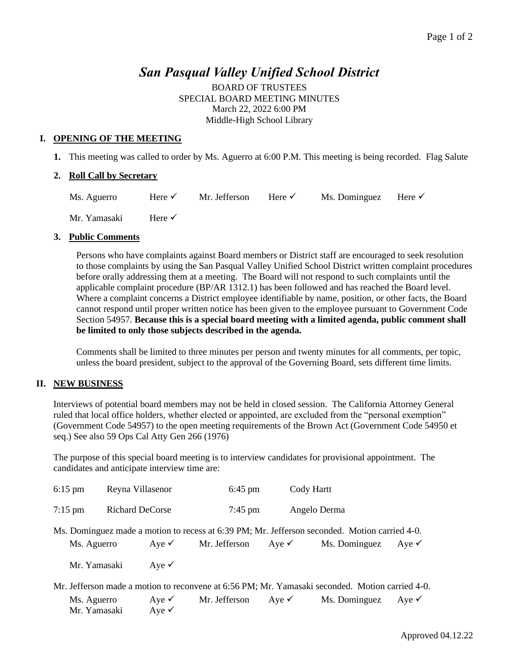## *San Pasqual Valley Unified School District*

BOARD OF TRUSTEES SPECIAL BOARD MEETING MINUTES March 22, 2022 6:00 PM Middle-High School Library

#### **I. OPENING OF THE MEETING**

**1.** This meeting was called to order by Ms. Aguerro at 6:00 P.M. This meeting is being recorded. Flag Salute

#### **2. Roll Call by Secretary**

| Ms. Aguerro | Here $\checkmark$ | Mr. Jefferson Here $\checkmark$ |  | Ms. Dominguez Here $\checkmark$ |  |
|-------------|-------------------|---------------------------------|--|---------------------------------|--|
|-------------|-------------------|---------------------------------|--|---------------------------------|--|

Mr. Yamasaki Here ✓

#### **3. Public Comments**

Persons who have complaints against Board members or District staff are encouraged to seek resolution to those complaints by using the San Pasqual Valley Unified School District written complaint procedures before orally addressing them at a meeting. The Board will not respond to such complaints until the applicable complaint procedure (BP/AR 1312.1) has been followed and has reached the Board level. Where a complaint concerns a District employee identifiable by name, position, or other facts, the Board cannot respond until proper written notice has been given to the employee pursuant to Government Code Section 54957. **Because this is a special board meeting with a limited agenda, public comment shall be limited to only those subjects described in the agenda.** 

Comments shall be limited to three minutes per person and twenty minutes for all comments, per topic, unless the board president, subject to the approval of the Governing Board, sets different time limits.

#### **II. NEW BUSINESS**

Interviews of potential board members may not be held in closed session. The California Attorney General ruled that local office holders, whether elected or appointed, are excluded from the "personal exemption" (Government Code 54957) to the open meeting requirements of the Brown Act (Government Code 54950 et seq.) See also 59 Ops Cal Atty Gen 266 (1976)

The purpose of this special board meeting is to interview candidates for provisional appointment. The candidates and anticipate interview time are:

| $6:15$ pm    | Reyna Villasenor            |                                      | $6:45 \text{ pm}$ |                  | Cody Hartt                                                                                      |                  |  |
|--------------|-----------------------------|--------------------------------------|-------------------|------------------|-------------------------------------------------------------------------------------------------|------------------|--|
| $7:15$ pm    | <b>Richard DeCorse</b>      |                                      | $7:45$ pm         |                  | Angelo Derma                                                                                    |                  |  |
|              |                             |                                      |                   |                  | Ms. Dominguez made a motion to recess at 6:39 PM; Mr. Jefferson seconded. Motion carried 4-0.   |                  |  |
| Ms. Aguerro  |                             | Aye $\checkmark$                     | Mr. Jefferson     | Aye $\checkmark$ | Ms. Dominguez                                                                                   | Aye $\checkmark$ |  |
| Mr. Yamasaki |                             | Aye $\checkmark$                     |                   |                  |                                                                                                 |                  |  |
|              |                             |                                      |                   |                  | Mr. Jefferson made a motion to reconvene at 6:56 PM; Mr. Yamasaki seconded. Motion carried 4-0. |                  |  |
|              | Ms. Aguerro<br>Mr. Yamasaki | Aye $\checkmark$<br>Aye $\checkmark$ | Mr. Jefferson     | Aye $\checkmark$ | Ms. Dominguez                                                                                   | Aye $\checkmark$ |  |